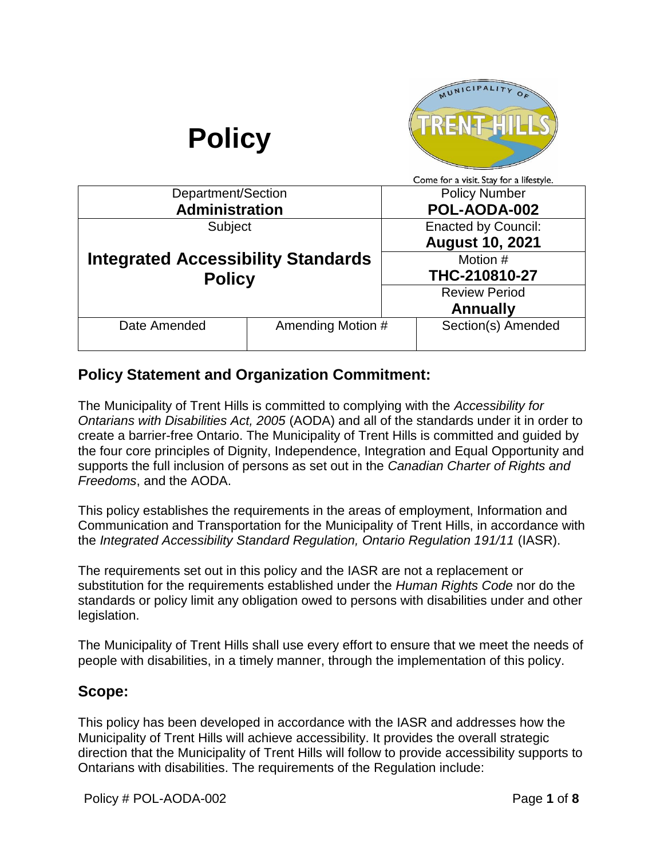

# **Policy Statement and Organization Commitment:**

The Municipality of Trent Hills is committed to complying with the *Accessibility for Ontarians with Disabilities Act, 2005* (AODA) and all of the standards under it in order to create a barrier-free Ontario. The Municipality of Trent Hills is committed and guided by the four core principles of Dignity, Independence, Integration and Equal Opportunity and supports the full inclusion of persons as set out in the *Canadian Charter of Rights and Freedoms*, and the AODA.

This policy establishes the requirements in the areas of employment, Information and Communication and Transportation for the Municipality of Trent Hills, in accordance with the *Integrated Accessibility Standard Regulation, Ontario Regulation 191/11* (IASR).

The requirements set out in this policy and the IASR are not a replacement or substitution for the requirements established under the *Human Rights Code* nor do the standards or policy limit any obligation owed to persons with disabilities under and other legislation.

The Municipality of Trent Hills shall use every effort to ensure that we meet the needs of people with disabilities, in a timely manner, through the implementation of this policy.

## **Scope:**

This policy has been developed in accordance with the IASR and addresses how the Municipality of Trent Hills will achieve accessibility. It provides the overall strategic direction that the Municipality of Trent Hills will follow to provide accessibility supports to Ontarians with disabilities. The requirements of the Regulation include: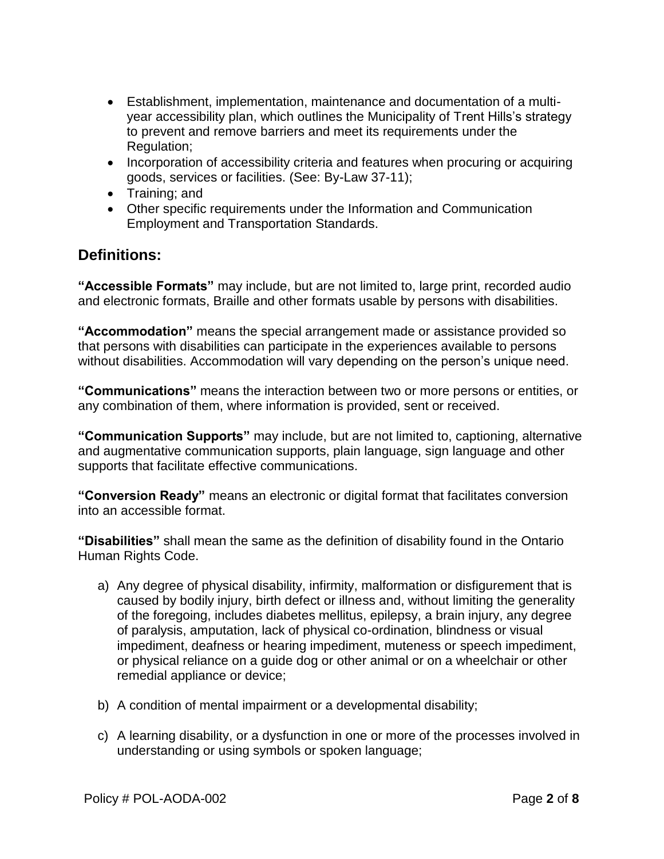- Establishment, implementation, maintenance and documentation of a multiyear accessibility plan, which outlines the Municipality of Trent Hills's strategy to prevent and remove barriers and meet its requirements under the Regulation;
- Incorporation of accessibility criteria and features when procuring or acquiring goods, services or facilities. (See: By-Law 37-11);
- Training: and
- Other specific requirements under the Information and Communication Employment and Transportation Standards.

# **Definitions:**

**"Accessible Formats"** may include, but are not limited to, large print, recorded audio and electronic formats, Braille and other formats usable by persons with disabilities.

**"Accommodation"** means the special arrangement made or assistance provided so that persons with disabilities can participate in the experiences available to persons without disabilities. Accommodation will vary depending on the person's unique need.

**"Communications"** means the interaction between two or more persons or entities, or any combination of them, where information is provided, sent or received.

**"Communication Supports"** may include, but are not limited to, captioning, alternative and augmentative communication supports, plain language, sign language and other supports that facilitate effective communications.

**"Conversion Ready"** means an electronic or digital format that facilitates conversion into an accessible format.

**"Disabilities"** shall mean the same as the definition of disability found in the Ontario Human Rights Code.

- a) Any degree of physical disability, infirmity, malformation or disfigurement that is caused by bodily injury, birth defect or illness and, without limiting the generality of the foregoing, includes diabetes mellitus, epilepsy, a brain injury, any degree of paralysis, amputation, lack of physical co-ordination, blindness or visual impediment, deafness or hearing impediment, muteness or speech impediment, or physical reliance on a guide dog or other animal or on a wheelchair or other remedial appliance or device;
- b) A condition of mental impairment or a developmental disability;
- c) A learning disability, or a dysfunction in one or more of the processes involved in understanding or using symbols or spoken language;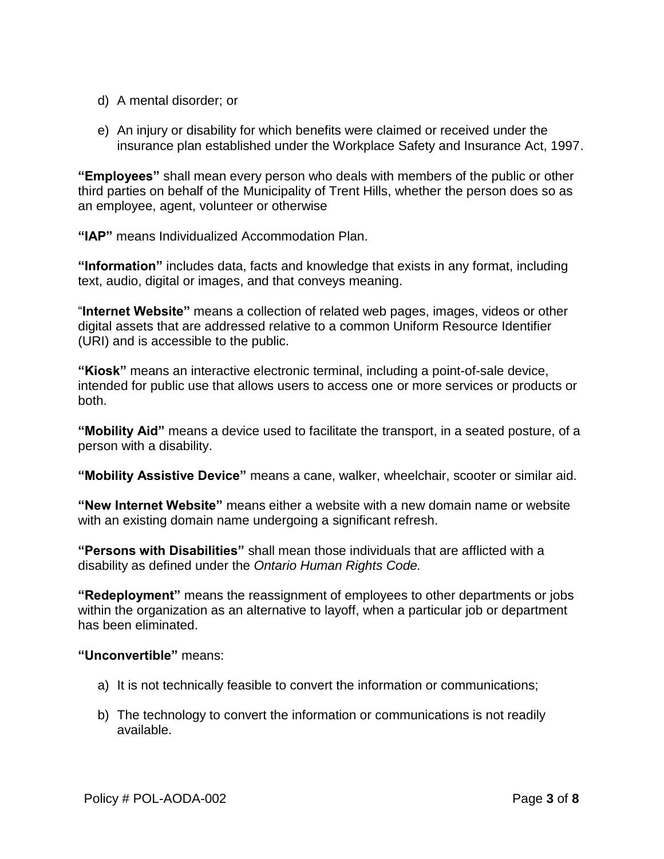- d) A mental disorder; or
- e) An injury or disability for which benefits were claimed or received under the insurance plan established under the Workplace Safety and Insurance Act, 1997.

**"Employees"** shall mean every person who deals with members of the public or other third parties on behalf of the Municipality of Trent Hills, whether the person does so as an employee, agent, volunteer or otherwise

**"IAP"** means Individualized Accommodation Plan.

**"Information"** includes data, facts and knowledge that exists in any format, including text, audio, digital or images, and that conveys meaning.

"**Internet Website"** means a collection of related web pages, images, videos or other digital assets that are addressed relative to a common Uniform Resource Identifier (URI) and is accessible to the public.

**"Kiosk"** means an interactive electronic terminal, including a point-of-sale device, intended for public use that allows users to access one or more services or products or both.

**"Mobility Aid"** means a device used to facilitate the transport, in a seated posture, of a person with a disability.

**"Mobility Assistive Device"** means a cane, walker, wheelchair, scooter or similar aid.

**"New Internet Website"** means either a website with a new domain name or website with an existing domain name undergoing a significant refresh.

**"Persons with Disabilities"** shall mean those individuals that are afflicted with a disability as defined under the *Ontario Human Rights Code.*

**"Redeployment"** means the reassignment of employees to other departments or jobs within the organization as an alternative to layoff, when a particular job or department has been eliminated.

**"Unconvertible"** means:

- a) It is not technically feasible to convert the information or communications;
- b) The technology to convert the information or communications is not readily available.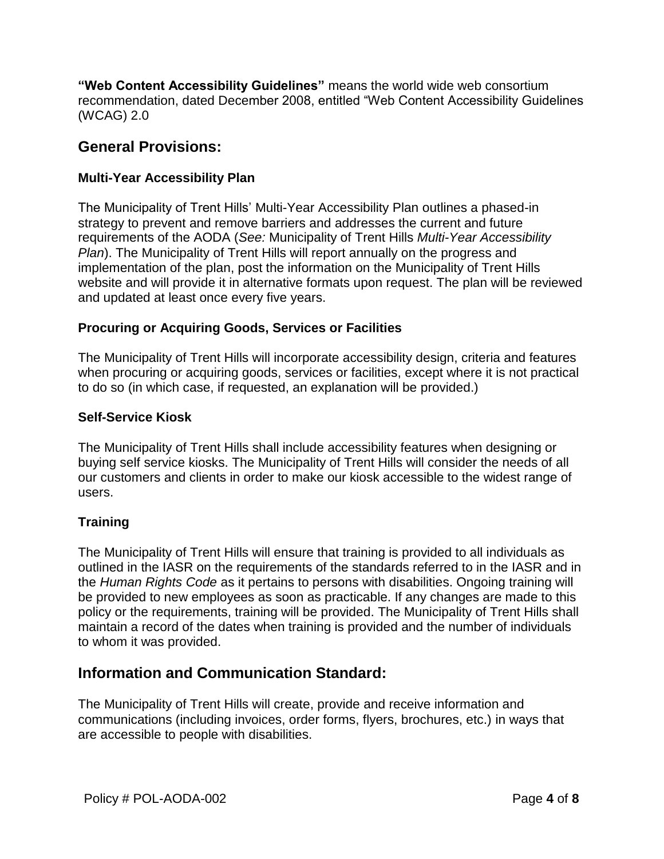**"Web Content Accessibility Guidelines"** means the world wide web consortium recommendation, dated December 2008, entitled "Web Content Accessibility Guidelines (WCAG) 2.0

# **General Provisions:**

## **Multi-Year Accessibility Plan**

The Municipality of Trent Hills' Multi-Year Accessibility Plan outlines a phased-in strategy to prevent and remove barriers and addresses the current and future requirements of the AODA (*See:* Municipality of Trent Hills *Multi-Year Accessibility Plan*). The Municipality of Trent Hills will report annually on the progress and implementation of the plan, post the information on the Municipality of Trent Hills website and will provide it in alternative formats upon request. The plan will be reviewed and updated at least once every five years.

### **Procuring or Acquiring Goods, Services or Facilities**

The Municipality of Trent Hills will incorporate accessibility design, criteria and features when procuring or acquiring goods, services or facilities, except where it is not practical to do so (in which case, if requested, an explanation will be provided.)

#### **Self-Service Kiosk**

The Municipality of Trent Hills shall include accessibility features when designing or buying self service kiosks. The Municipality of Trent Hills will consider the needs of all our customers and clients in order to make our kiosk accessible to the widest range of users.

## **Training**

The Municipality of Trent Hills will ensure that training is provided to all individuals as outlined in the IASR on the requirements of the standards referred to in the IASR and in the *Human Rights Code* as it pertains to persons with disabilities. Ongoing training will be provided to new employees as soon as practicable. If any changes are made to this policy or the requirements, training will be provided. The Municipality of Trent Hills shall maintain a record of the dates when training is provided and the number of individuals to whom it was provided.

## **Information and Communication Standard:**

The Municipality of Trent Hills will create, provide and receive information and communications (including invoices, order forms, flyers, brochures, etc.) in ways that are accessible to people with disabilities.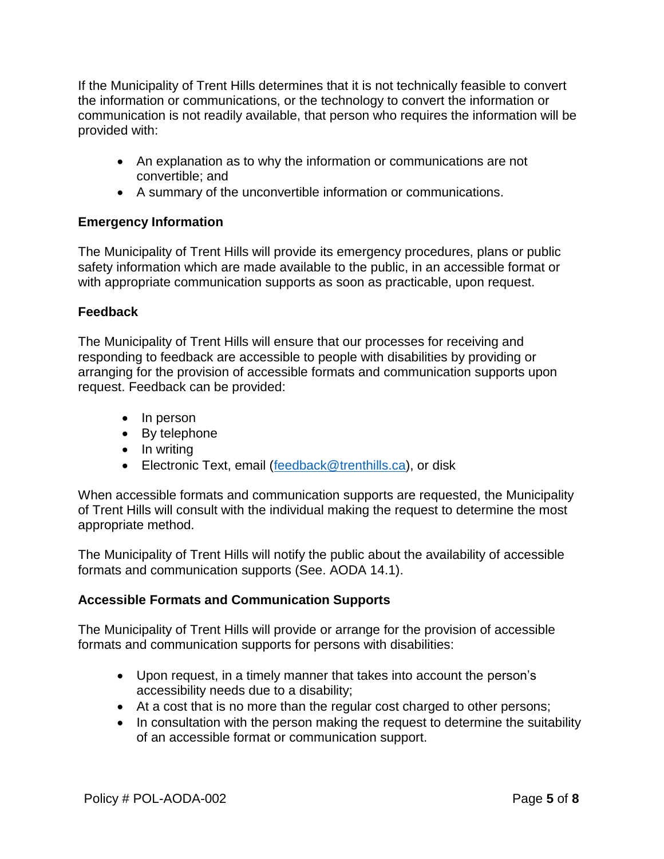If the Municipality of Trent Hills determines that it is not technically feasible to convert the information or communications, or the technology to convert the information or communication is not readily available, that person who requires the information will be provided with:

- An explanation as to why the information or communications are not convertible; and
- A summary of the unconvertible information or communications.

#### **Emergency Information**

The Municipality of Trent Hills will provide its emergency procedures, plans or public safety information which are made available to the public, in an accessible format or with appropriate communication supports as soon as practicable, upon request.

### **Feedback**

The Municipality of Trent Hills will ensure that our processes for receiving and responding to feedback are accessible to people with disabilities by providing or arranging for the provision of accessible formats and communication supports upon request. Feedback can be provided:

- In person
- By telephone
- In writing
- **Electronic Text, email [\(feedback@trenthills.ca\)](mailto:feedback@trenthills.ca), or disk**

When accessible formats and communication supports are requested, the Municipality of Trent Hills will consult with the individual making the request to determine the most appropriate method.

The Municipality of Trent Hills will notify the public about the availability of accessible formats and communication supports (See. AODA 14.1).

#### **Accessible Formats and Communication Supports**

The Municipality of Trent Hills will provide or arrange for the provision of accessible formats and communication supports for persons with disabilities:

- Upon request, in a timely manner that takes into account the person's accessibility needs due to a disability;
- At a cost that is no more than the regular cost charged to other persons;
- In consultation with the person making the request to determine the suitability of an accessible format or communication support.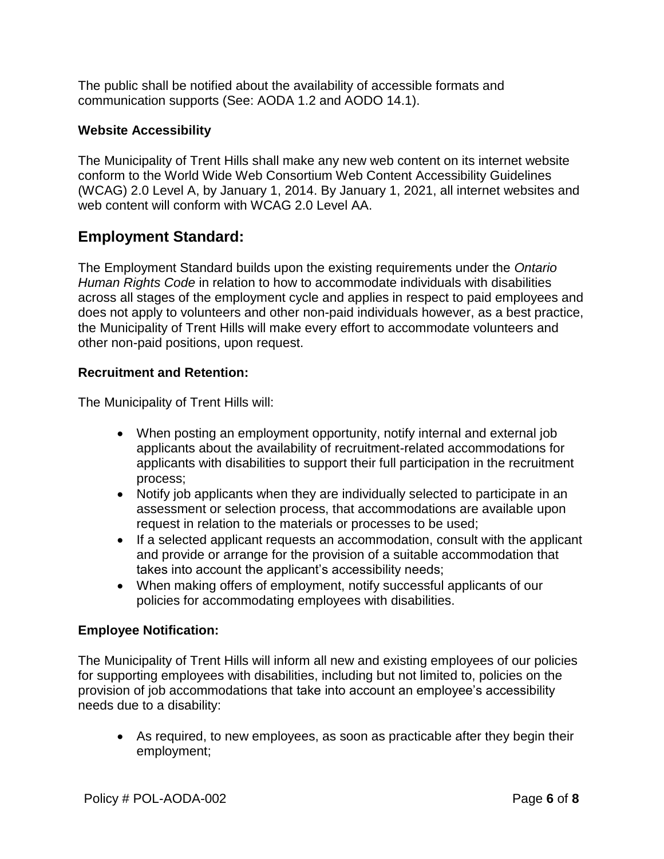The public shall be notified about the availability of accessible formats and communication supports (See: AODA 1.2 and AODO 14.1).

## **Website Accessibility**

The Municipality of Trent Hills shall make any new web content on its internet website conform to the World Wide Web Consortium Web Content Accessibility Guidelines (WCAG) 2.0 Level A, by January 1, 2014. By January 1, 2021, all internet websites and web content will conform with WCAG 2.0 Level AA.

# **Employment Standard:**

The Employment Standard builds upon the existing requirements under the *Ontario Human Rights Code* in relation to how to accommodate individuals with disabilities across all stages of the employment cycle and applies in respect to paid employees and does not apply to volunteers and other non-paid individuals however, as a best practice, the Municipality of Trent Hills will make every effort to accommodate volunteers and other non-paid positions, upon request.

## **Recruitment and Retention:**

The Municipality of Trent Hills will:

- When posting an employment opportunity, notify internal and external job applicants about the availability of recruitment-related accommodations for applicants with disabilities to support their full participation in the recruitment process;
- Notify job applicants when they are individually selected to participate in an assessment or selection process, that accommodations are available upon request in relation to the materials or processes to be used;
- If a selected applicant requests an accommodation, consult with the applicant and provide or arrange for the provision of a suitable accommodation that takes into account the applicant's accessibility needs;
- When making offers of employment, notify successful applicants of our policies for accommodating employees with disabilities.

## **Employee Notification:**

The Municipality of Trent Hills will inform all new and existing employees of our policies for supporting employees with disabilities, including but not limited to, policies on the provision of job accommodations that take into account an employee's accessibility needs due to a disability:

 As required, to new employees, as soon as practicable after they begin their employment;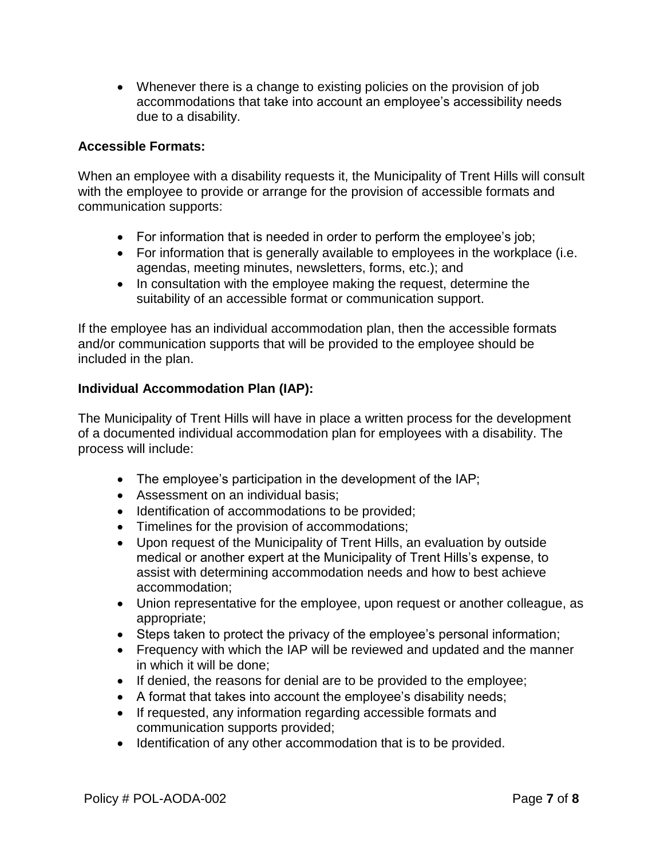Whenever there is a change to existing policies on the provision of job accommodations that take into account an employee's accessibility needs due to a disability.

#### **Accessible Formats:**

When an employee with a disability requests it, the Municipality of Trent Hills will consult with the employee to provide or arrange for the provision of accessible formats and communication supports:

- For information that is needed in order to perform the employee's job;
- For information that is generally available to employees in the workplace (i.e. agendas, meeting minutes, newsletters, forms, etc.); and
- In consultation with the employee making the request, determine the suitability of an accessible format or communication support.

If the employee has an individual accommodation plan, then the accessible formats and/or communication supports that will be provided to the employee should be included in the plan.

### **Individual Accommodation Plan (IAP):**

The Municipality of Trent Hills will have in place a written process for the development of a documented individual accommodation plan for employees with a disability. The process will include:

- The employee's participation in the development of the IAP;
- Assessment on an individual basis;
- Identification of accommodations to be provided;
- Timelines for the provision of accommodations;
- Upon request of the Municipality of Trent Hills, an evaluation by outside medical or another expert at the Municipality of Trent Hills's expense, to assist with determining accommodation needs and how to best achieve accommodation;
- Union representative for the employee, upon request or another colleague, as appropriate;
- Steps taken to protect the privacy of the employee's personal information;
- Frequency with which the IAP will be reviewed and updated and the manner in which it will be done;
- If denied, the reasons for denial are to be provided to the employee;
- A format that takes into account the employee's disability needs;
- If requested, any information regarding accessible formats and communication supports provided;
- Identification of any other accommodation that is to be provided.